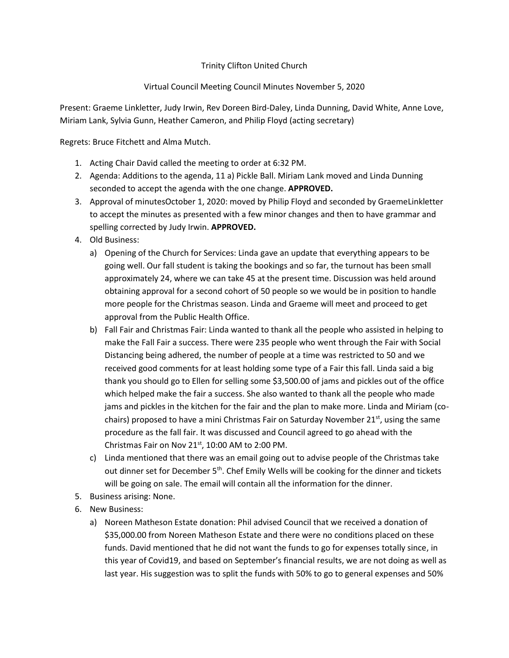## Trinity Clifton United Church

## Virtual Council Meeting Council Minutes November 5, 2020

Present: Graeme Linkletter, Judy Irwin, Rev Doreen Bird-Daley, Linda Dunning, David White, Anne Love, Miriam Lank, Sylvia Gunn, Heather Cameron, and Philip Floyd (acting secretary)

Regrets: Bruce Fitchett and Alma Mutch.

- 1. Acting Chair David called the meeting to order at 6:32 PM.
- 2. Agenda: Additions to the agenda, 11 a) Pickle Ball. Miriam Lank moved and Linda Dunning seconded to accept the agenda with the one change. **APPROVED.**
- 3. Approval of minutesOctober 1, 2020: moved by Philip Floyd and seconded by GraemeLinkletter to accept the minutes as presented with a few minor changes and then to have grammar and spelling corrected by Judy Irwin. **APPROVED.**
- 4. Old Business:
	- a) Opening of the Church for Services: Linda gave an update that everything appears to be going well. Our fall student is taking the bookings and so far, the turnout has been small approximately 24, where we can take 45 at the present time. Discussion was held around obtaining approval for a second cohort of 50 people so we would be in position to handle more people for the Christmas season. Linda and Graeme will meet and proceed to get approval from the Public Health Office.
	- b) Fall Fair and Christmas Fair: Linda wanted to thank all the people who assisted in helping to make the Fall Fair a success. There were 235 people who went through the Fair with Social Distancing being adhered, the number of people at a time was restricted to 50 and we received good comments for at least holding some type of a Fair this fall. Linda said a big thank you should go to Ellen for selling some \$3,500.00 of jams and pickles out of the office which helped make the fair a success. She also wanted to thank all the people who made jams and pickles in the kitchen for the fair and the plan to make more. Linda and Miriam (cochairs) proposed to have a mini Christmas Fair on Saturday November  $21<sup>st</sup>$ , using the same procedure as the fall fair. It was discussed and Council agreed to go ahead with the Christmas Fair on Nov  $21<sup>st</sup>$ , 10:00 AM to 2:00 PM.
	- c) Linda mentioned that there was an email going out to advise people of the Christmas take out dinner set for December 5<sup>th</sup>. Chef Emily Wells will be cooking for the dinner and tickets will be going on sale. The email will contain all the information for the dinner.
- 5. Business arising: None.
- 6. New Business:
	- a) Noreen Matheson Estate donation: Phil advised Council that we received a donation of \$35,000.00 from Noreen Matheson Estate and there were no conditions placed on these funds. David mentioned that he did not want the funds to go for expenses totally since, in this year of Covid19, and based on September's financial results, we are not doing as well as last year. His suggestion was to split the funds with 50% to go to general expenses and 50%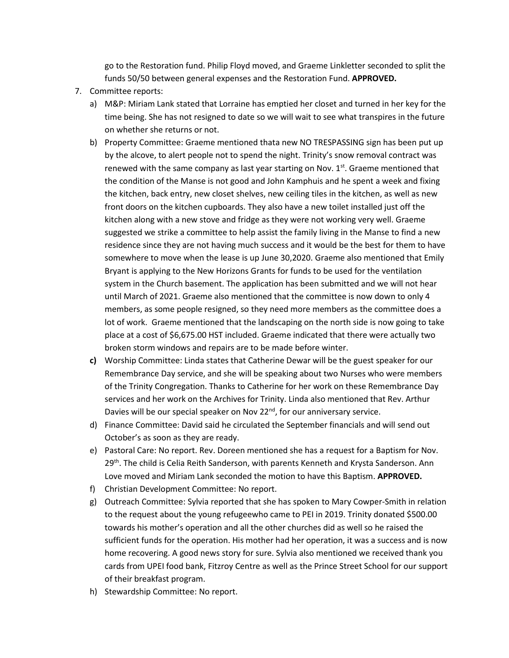go to the Restoration fund. Philip Floyd moved, and Graeme Linkletter seconded to split the funds 50/50 between general expenses and the Restoration Fund. **APPROVED.**

- 7. Committee reports:
	- a) M&P: Miriam Lank stated that Lorraine has emptied her closet and turned in her key for the time being. She has not resigned to date so we will wait to see what transpires in the future on whether she returns or not.
	- b) Property Committee: Graeme mentioned thata new NO TRESPASSING sign has been put up by the alcove, to alert people not to spend the night. Trinity's snow removal contract was renewed with the same company as last year starting on Nov.  $1<sup>st</sup>$ . Graeme mentioned that the condition of the Manse is not good and John Kamphuis and he spent a week and fixing the kitchen, back entry, new closet shelves, new ceiling tiles in the kitchen, as well as new front doors on the kitchen cupboards. They also have a new toilet installed just off the kitchen along with a new stove and fridge as they were not working very well. Graeme suggested we strike a committee to help assist the family living in the Manse to find a new residence since they are not having much success and it would be the best for them to have somewhere to move when the lease is up June 30,2020. Graeme also mentioned that Emily Bryant is applying to the New Horizons Grants for funds to be used for the ventilation system in the Church basement. The application has been submitted and we will not hear until March of 2021. Graeme also mentioned that the committee is now down to only 4 members, as some people resigned, so they need more members as the committee does a lot of work. Graeme mentioned that the landscaping on the north side is now going to take place at a cost of \$6,675.00 HST included. Graeme indicated that there were actually two broken storm windows and repairs are to be made before winter.
	- **c)** Worship Committee: Linda states that Catherine Dewar will be the guest speaker for our Remembrance Day service, and she will be speaking about two Nurses who were members of the Trinity Congregation. Thanks to Catherine for her work on these Remembrance Day services and her work on the Archives for Trinity. Linda also mentioned that Rev. Arthur Davies will be our special speaker on Nov 22<sup>nd</sup>, for our anniversary service.
	- d) Finance Committee: David said he circulated the September financials and will send out October's as soon as they are ready.
	- e) Pastoral Care: No report. Rev. Doreen mentioned she has a request for a Baptism for Nov. 29<sup>th</sup>. The child is Celia Reith Sanderson, with parents Kenneth and Krysta Sanderson. Ann Love moved and Miriam Lank seconded the motion to have this Baptism. **APPROVED.**
	- f) Christian Development Committee: No report.
	- g) Outreach Committee: Sylvia reported that she has spoken to Mary Cowper-Smith in relation to the request about the young refugeewho came to PEI in 2019. Trinity donated \$500.00 towards his mother's operation and all the other churches did as well so he raised the sufficient funds for the operation. His mother had her operation, it was a success and is now home recovering. A good news story for sure. Sylvia also mentioned we received thank you cards from UPEI food bank, Fitzroy Centre as well as the Prince Street School for our support of their breakfast program.
	- h) Stewardship Committee: No report.